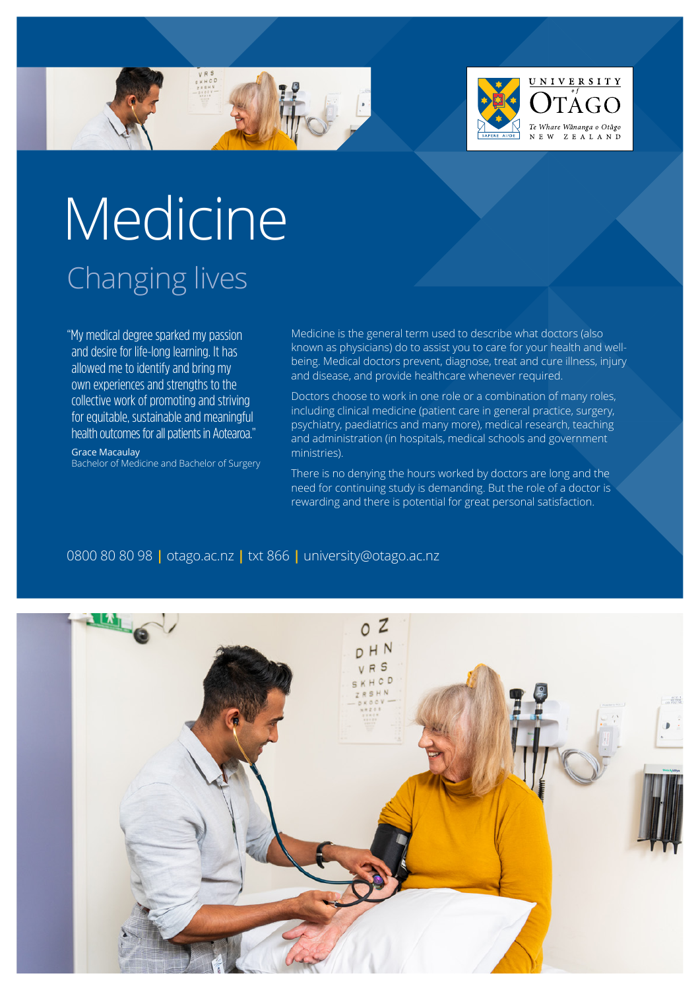



# Medicine Changing lives

"My medical degree sparked my passion and desire for life-long learning. It has allowed me to identify and bring my own experiences and strengths to the collective work of promoting and striving for equitable, sustainable and meaningful health outcomes for all patients in Aotearoa."

Grace Macaulay Bachelor of Medicine and Bachelor of Surgery Medicine is the general term used to describe what doctors (also known as physicians) do to assist you to care for your health and wellbeing. Medical doctors prevent, diagnose, treat and cure illness, injury and disease, and provide healthcare whenever required.

Doctors choose to work in one role or a combination of many roles, including clinical medicine (patient care in general practice, surgery, psychiatry, paediatrics and many more), medical research, teaching and administration (in hospitals, medical schools and government ministries).

There is no denying the hours worked by doctors are long and the need for continuing study is demanding. But the role of a doctor is rewarding and there is potential for great personal satisfaction.

### 0800 80 80 98 **|** [otago.ac.nz](www.otago.ac.nz) **|** txt 866 **|** [university@otago.ac.nz](mailto:university%40otago.ac.nz?subject=)